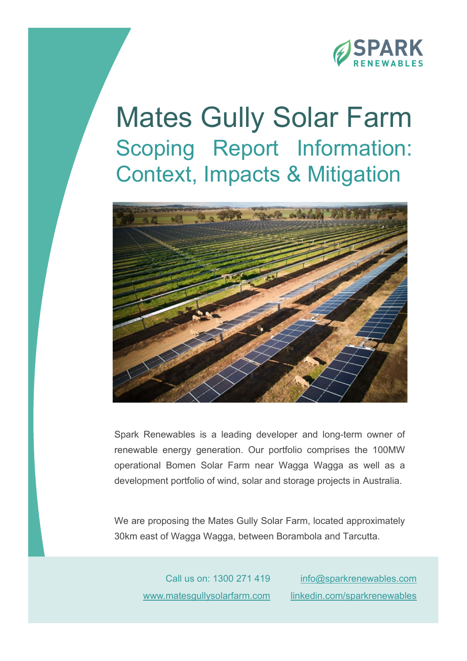

# Mates Gully Solar Farm Scoping Report Information: Context, Impacts & Mitigation



Spark Renewables is a leading developer and long-term owner of renewable energy generation. Our portfolio comprises the 100MW operational Bomen Solar Farm near Wagga Wagga as well as a development portfolio of wind, solar and storage projects in Australia.

We are proposing the Mates Gully Solar Farm, located approximately 30km east of Wagga Wagga, between Borambola and Tarcutta.

> Call us on: 1300 271 419 www.matesgullysolarfarm.com

info@sparkrenewables.com linkedin.com/sparkrenewables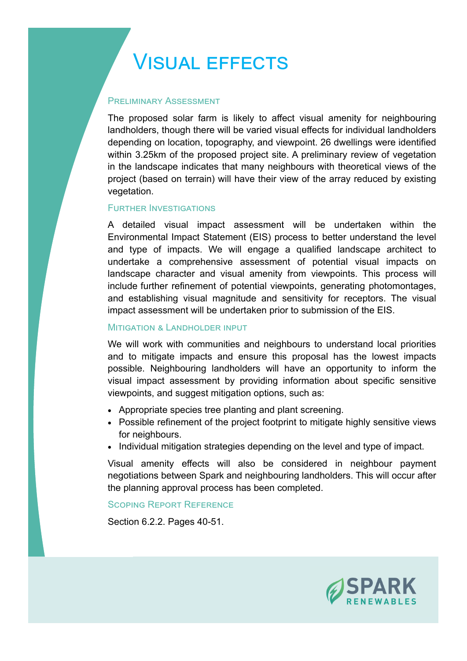# **VISUAL EFFECTS**

### **PRELIMINARY ASSESSMENT**

The proposed solar farm is likely to affect visual amenity for neighbouring landholders, though there will be varied visual effects for individual landholders depending on location, topography, and viewpoint. 26 dwellings were identified within 3.25km of the proposed project site. A preliminary review of vegetation in the landscape indicates that many neighbours with theoretical views of the project (based on terrain) will have their view of the array reduced by existing vegetation.

### **FURTHER INVESTIGATIONS**

A detailed visual impact assessment will be undertaken within the Environmental Impact Statement (EIS) process to better understand the level and type of impacts. We will engage a qualified landscape architect to undertake a comprehensive assessment of potential visual impacts on landscape character and visual amenity from viewpoints. This process will include further refinement of potential viewpoints, generating photomontages, and establishing visual magnitude and sensitivity for receptors. The visual impact assessment will be undertaken prior to submission of the EIS.

### **MITIGATION & LANDHOLDER INPUT**

We will work with communities and neighbours to understand local priorities and to mitigate impacts and ensure this proposal has the lowest impacts possible. Neighbouring landholders will have an opportunity to inform the visual impact assessment by providing information about specific sensitive viewpoints, and suggest mitigation options, such as:

- Appropriate species tree planting and plant screening.
- Possible refinement of the project footprint to mitigate highly sensitive views for neighbours.
- Individual mitigation strategies depending on the level and type of impact.

Visual amenity effects will also be considered in neighbour payment negotiations between Spark and neighbouring landholders. This will occur after the planning approval process has been completed.

### SCOPING REPORT REFERENCE

Section 6.2.2. Pages 40-51.

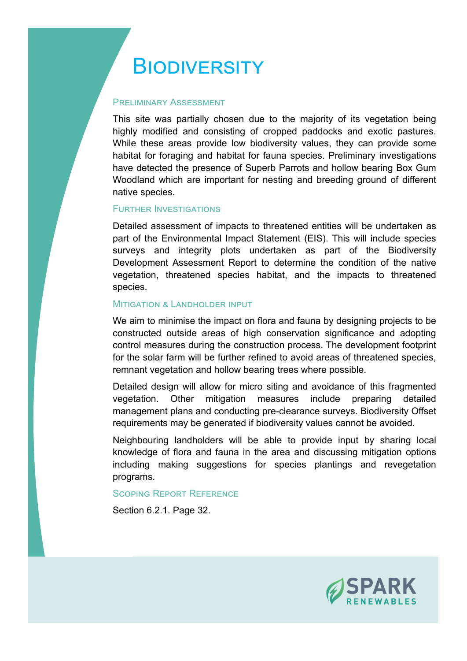### BIODIVERSITY

### **PRELIMINARY ASSESSMENT**

This site was partially chosen due to the majority of its vegetation being highly modified and consisting of cropped paddocks and exotic pastures. While these areas provide low biodiversity values, they can provide some habitat for foraging and habitat for fauna species. Preliminary investigations have detected the presence of Superb Parrots and hollow bearing Box Gum Woodland which are important for nesting and breeding ground of different native species.

### **FURTHER INVESTIGATIONS**

Detailed assessment of impacts to threatened entities will be undertaken as part of the Environmental Impact Statement (EIS). This will include species surveys and integrity plots undertaken as part of the Biodiversity Development Assessment Report to determine the condition of the native vegetation, threatened species habitat, and the impacts to threatened species.

### **MITIGATION & LANDHOLDER INPUT**

We aim to minimise the impact on flora and fauna by designing projects to be constructed outside areas of high conservation significance and adopting control measures during the construction process. The development footprint for the solar farm will be further refined to avoid areas of threatened species, remnant vegetation and hollow bearing trees where possible.

Detailed design will allow for micro siting and avoidance of this fragmented vegetation. Other mitigation measures include preparing detailed management plans and conducting pre-clearance surveys. Biodiversity Offset requirements may be generated if biodiversity values cannot be avoided.

Neighbouring landholders will be able to provide input by sharing local knowledge of flora and fauna in the area and discussing mitigation options including making suggestions for species plantings and revegetation programs.

### SCOPING REPORT REFERENCE

Section 6.2.1. Page 32.

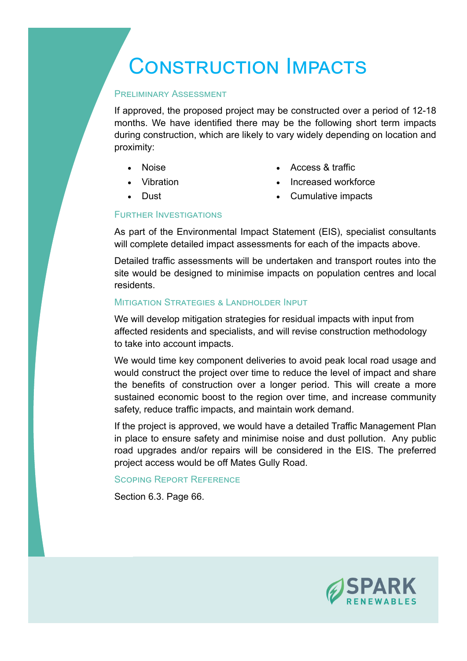### CONSTRUCTION IMPACTS

### **PRELIMINARY ASSESSMENT**

If approved, the proposed project may be constructed over a period of 12-18 months. We have identified there may be the following short term impacts during construction, which are likely to vary widely depending on location and proximity:

- Noise
- Vibration
- **.** Dust
- Access & traffic
- Increased workforce
- Cumulative impacts

### **FURTHER INVESTIGATIONS**

As part of the Environmental Impact Statement (EIS), specialist consultants will complete detailed impact assessments for each of the impacts above.

Detailed traffic assessments will be undertaken and transport routes into the site would be designed to minimise impacts on population centres and local residents.

### MITIGATION STRATEGIES & LANDHOLDER INPUT

We will develop mitigation strategies for residual impacts with input from affected residents and specialists, and will revise construction methodology to take into account impacts.

We would time key component deliveries to avoid peak local road usage and would construct the project over time to reduce the level of impact and share the benefits of construction over a longer period. This will create a more sustained economic boost to the region over time, and increase community safety, reduce traffic impacts, and maintain work demand.

If the project is approved, we would have a detailed Traffic Management Plan in place to ensure safety and minimise noise and dust pollution. Any public road upgrades and/or repairs will be considered in the EIS. The preferred project access would be off Mates Gully Road.

### SCOPING REPORT REFERENCE

Section 6.3. Page 66.

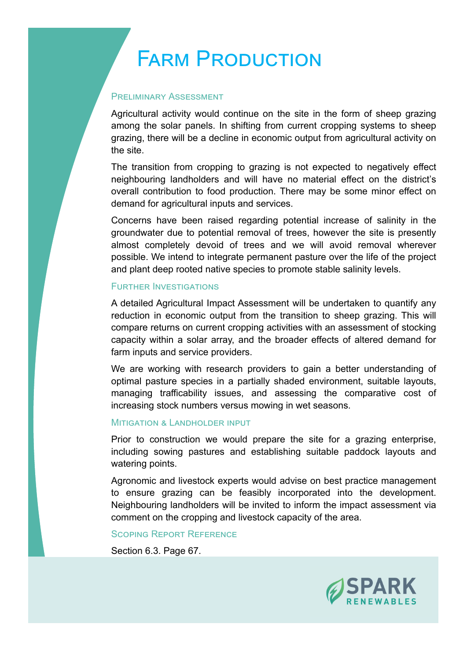## **FARM PRODUCTION**

### **PRELIMINARY ASSESSMENT**

Agricultural activity would continue on the site in the form of sheep grazing among the solar panels. In shifting from current cropping systems to sheep grazing, there will be a decline in economic output from agricultural activity on the site.

The transition from cropping to grazing is not expected to negatively effect neighbouring landholders and will have no material effect on the district's overall contribution to food production. There may be some minor effect on demand for agricultural inputs and services.

Concerns have been raised regarding potential increase of salinity in the groundwater due to potential removal of trees, however the site is presently almost completely devoid of trees and we will avoid removal wherever possible. We intend to integrate permanent pasture over the life of the project and plant deep rooted native species to promote stable salinity levels.

### **FURTHER INVESTIGATIONS**

A detailed Agricultural Impact Assessment will be undertaken to quantify any reduction in economic output from the transition to sheep grazing. This will compare returns on current cropping activities with an assessment of stocking capacity within a solar array, and the broader effects of altered demand for farm inputs and service providers.

We are working with research providers to gain a better understanding of optimal pasture species in a partially shaded environment, suitable layouts, managing trafficability issues, and assessing the comparative cost of increasing stock numbers versus mowing in wet seasons.

### MITIGATION & LANDHOLDER INPUT

Prior to construction we would prepare the site for a grazing enterprise, including sowing pastures and establishing suitable paddock layouts and watering points.

Agronomic and livestock experts would advise on best practice management to ensure grazing can be feasibly incorporated into the development. Neighbouring landholders will be invited to inform the impact assessment via comment on the cropping and livestock capacity of the area.

### SCOPING REPORT REFERENCE

Section 6.3. Page 67.

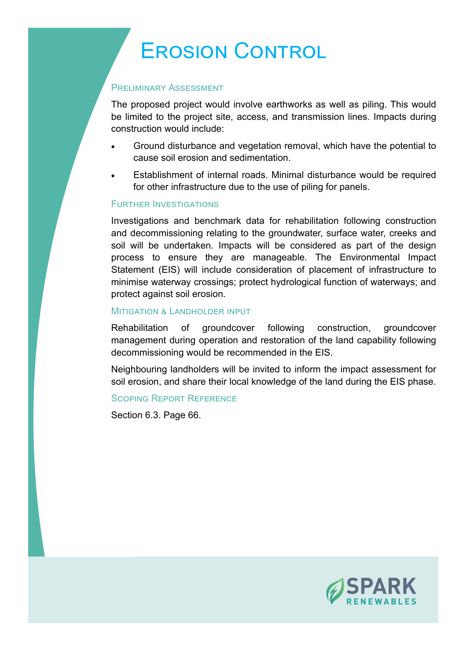# **EROSION CONTROL**

### **PRELIMINARY ASSESSMENT**

The proposed project would involve earthworks as well as piling. This would be limited to the project site, access, and transmission lines. Impacts during construction would include:

- Ground disturbance and vegetation removal, which have the potential to cause soil erosion and sedimentation.
- Establishment of internal roads. Minimal disturbance would be required for other infrastructure due to the use of piling for panels.

### **FURTHER INVESTIGATIONS**

Investigations and benchmark data for rehabilitation following construction and decommissioning relating to the groundwater, surface water, creeks and soil will be undertaken. Impacts will be considered as part of the design process to ensure they are manageable. The Environmental Impact Statement (EIS) will include consideration of placement of infrastructure to minimise waterway crossings; protect hydrological function of waterways; and protect against soil erosion.

### **MITIGATION & LANDHOLDER INPUT**

Rehabilitation of groundcover following construction, groundcover management during operation and restoration of the land capability following decommissioning would be recommended in the EIS.

Neighbouring landholders will be invited to inform the impact assessment for soil erosion, and share their local knowledge of the land during the EIS phase.

### SCOPING REPORT REFERENCE

Section 6.3. Page 66.

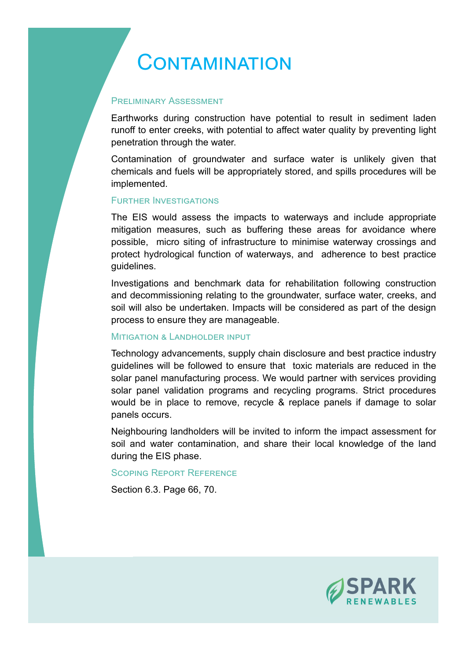### CONTAMINATION

### PREI IMINARY ASSESSMENT

Earthworks during construction have potential to result in sediment laden runoff to enter creeks, with potential to affect water quality by preventing light penetration through the water.

Contamination of groundwater and surface water is unlikely given that chemicals and fuels will be appropriately stored, and spills procedures will be implemented.

### **FURTHER INVESTIGATIONS**

The EIS would assess the impacts to waterways and include appropriate mitigation measures, such as buffering these areas for avoidance where possible, micro siting of infrastructure to minimise waterway crossings and protect hydrological function of waterways, and adherence to best practice guidelines.

Investigations and benchmark data for rehabilitation following construction and decommissioning relating to the groundwater, surface water, creeks, and soil will also be undertaken. Impacts will be considered as part of the design process to ensure they are manageable.

### **MITIGATION & LANDHOLDER INPUT**

Technology advancements, supply chain disclosure and best practice industry guidelines will be followed to ensure that toxic materials are reduced in the solar panel manufacturing process. We would partner with services providing solar panel validation programs and recycling programs. Strict procedures would be in place to remove, recycle & replace panels if damage to solar panels occurs.

Neighbouring landholders will be invited to inform the impact assessment for soil and water contamination, and share their local knowledge of the land during the EIS phase.

### SCOPING REPORT REFERENCE

Section 6.3. Page 66, 70.

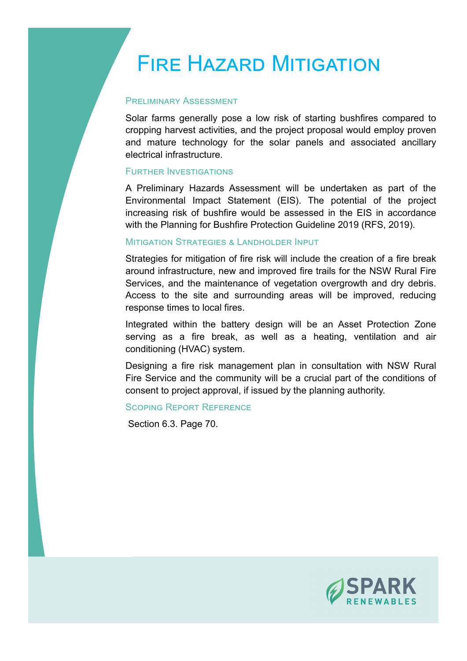## **FIRE HAZARD MITIGATION**

### PREI IMINARY ASSESSMENT

Solar farms generally pose a low risk of starting bushfires compared to cropping harvest activities, and the project proposal would employ proven and mature technology for the solar panels and associated ancillary electrical infrastructure.

### **FURTHER INVESTIGATIONS**

A Preliminary Hazards Assessment will be undertaken as part of the Environmental Impact Statement (EIS). The potential of the project increasing risk of bushfire would be assessed in the EIS in accordance with the Planning for Bushfire Protection Guideline 2019 (RFS, 2019).

### **MITIGATION STRATEGIES & LANDHOLDER INPUT**

Strategies for mitigation of fire risk will include the creation of a fire break around infrastructure, new and improved fire trails for the NSW Rural Fire Services, and the maintenance of vegetation overgrowth and dry debris. Access to the site and surrounding areas will be improved, reducing response times to local fires.

Integrated within the battery design will be an Asset Protection Zone serving as a fire break, as well as a heating, ventilation and air conditioning (HVAC) system.

Designing a fire risk management plan in consultation with NSW Rural Fire Service and the community will be a crucial part of the conditions of consent to project approval, if issued by the planning authority.

### SCOPING REPORT REFERENCE

Section 6.3. Page 70.

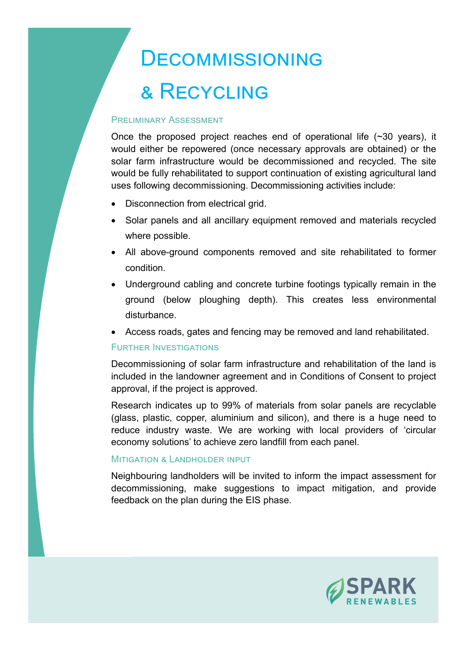# DECOMMISSIONING & RECYCLING

### **PRELIMINARY ASSESSMENT**

Once the proposed project reaches end of operational life (~30 years), it would either be repowered (once necessary approvals are obtained) or the solar farm infrastructure would be decommissioned and recycled. The site would be fully rehabilitated to support continuation of existing agricultural land uses following decommissioning. Decommissioning activities include:

- Disconnection from electrical grid.
- Solar panels and all ancillary equipment removed and materials recycled where possible.
- All above-ground components removed and site rehabilitated to former condition.
- Underground cabling and concrete turbine footings typically remain in the ground (below ploughing depth). This creates less environmental disturbance.
- Access roads, gates and fencing may be removed and land rehabilitated.

### **FURTHER INVESTIGATIONS**

Decommissioning of solar farm infrastructure and rehabilitation of the land is included in the landowner agreement and in Conditions of Consent to project approval, if the project is approved.

Research indicates up to 99% of materials from solar panels are recyclable (glass, plastic, copper, aluminium and silicon), and there is a huge need to reduce industry waste. We are working with local providers of 'circular economy solutions' to achieve zero landfill from each panel.

### MITIGATION & LANDHOLDER INPUT

Neighbouring landholders will be invited to inform the impact assessment for decommissioning, make suggestions to impact mitigation, and provide feedback on the plan during the EIS phase.

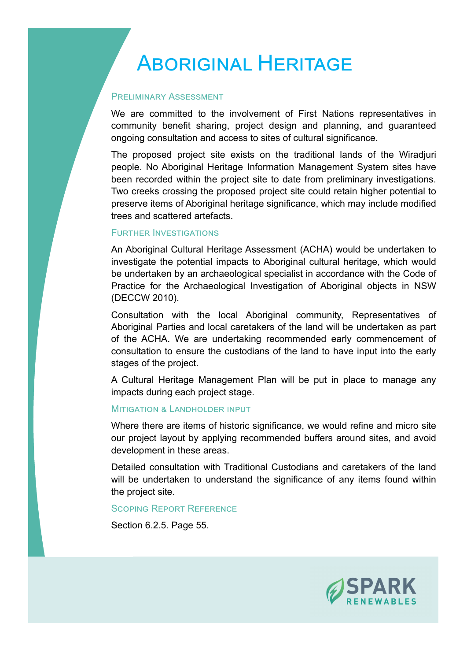### **ABORIGINAL HERITAGE**

### **PRELIMINARY ASSESSMENT**

We are committed to the involvement of First Nations representatives in community benefit sharing, project design and planning, and guaranteed ongoing consultation and access to sites of cultural significance.

The proposed project site exists on the traditional lands of the Wiradjuri people. No Aboriginal Heritage Information Management System sites have been recorded within the project site to date from preliminary investigations. Two creeks crossing the proposed project site could retain higher potential to preserve items of Aboriginal heritage significance, which may include modified trees and scattered artefacts.

### **FURTHER INVESTIGATIONS**

An Aboriginal Cultural Heritage Assessment (ACHA) would be undertaken to investigate the potential impacts to Aboriginal cultural heritage, which would be undertaken by an archaeological specialist in accordance with the Code of Practice for the Archaeological Investigation of Aboriginal objects in NSW (DECCW 2010).

Consultation with the local Aboriginal community, Representatives of Aboriginal Parties and local caretakers of the land will be undertaken as part of the ACHA. We are undertaking recommended early commencement of consultation to ensure the custodians of the land to have input into the early stages of the project.

A Cultural Heritage Management Plan will be put in place to manage any impacts during each project stage.

### MITIGATION & LANDHOLDER INPUT

Where there are items of historic significance, we would refine and micro site our project layout by applying recommended buffers around sites, and avoid development in these areas.

Detailed consultation with Traditional Custodians and caretakers of the land will be undertaken to understand the significance of any items found within the project site.

#### SCOPING REPORT REFERENCE

Section 6.2.5. Page 55.

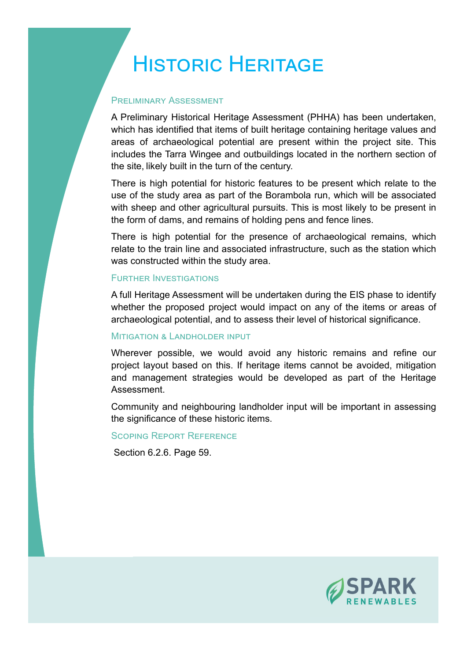## HISTORIC HERITAGE

### PREI IMINARY ASSESSMENT

A Preliminary Historical Heritage Assessment (PHHA) has been undertaken, which has identified that items of built heritage containing heritage values and areas of archaeological potential are present within the project site. This includes the Tarra Wingee and outbuildings located in the northern section of the site, likely built in the turn of the century.

There is high potential for historic features to be present which relate to the use of the study area as part of the Borambola run, which will be associated with sheep and other agricultural pursuits. This is most likely to be present in the form of dams, and remains of holding pens and fence lines.

There is high potential for the presence of archaeological remains, which relate to the train line and associated infrastructure, such as the station which was constructed within the study area.

### **FURTHER INVESTIGATIONS**

A full Heritage Assessment will be undertaken during the EIS phase to identify whether the proposed project would impact on any of the items or areas of archaeological potential, and to assess their level of historical significance.

### **MITIGATION & LANDHOLDER INPUT**

Wherever possible, we would avoid any historic remains and refine our project layout based on this. If heritage items cannot be avoided, mitigation and management strategies would be developed as part of the Heritage Assessment.

Community and neighbouring landholder input will be important in assessing the significance of these historic items.

SCOPING REPORT REFERENCE

Section 6.2.6. Page 59.